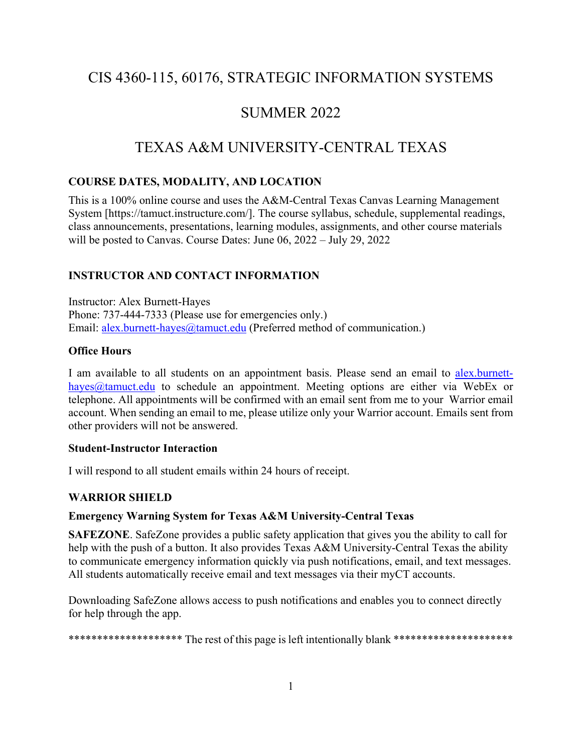# CIS 4360-115, 60176, STRATEGIC INFORMATION SYSTEMS

# SUMMER 2022

# TEXAS A&M UNIVERSITY-CENTRAL TEXAS

# **COURSE DATES, MODALITY, AND LOCATION**

This is a 100% online course and uses the A&M-Central Texas Canvas Learning Management System [https://tamuct.instructure.com/]. The course syllabus, schedule, supplemental readings, class announcements, presentations, learning modules, assignments, and other course materials will be posted to Canvas. Course Dates: June 06, 2022 – July 29, 2022

# **INSTRUCTOR AND CONTACT INFORMATION**

Instructor: Alex Burnett-Hayes Phone: 737-444-7333 (Please use for emergencies only.) Email: [alex.burnett-hayes@tamuct.edu](mailto:alex.burnett-hayes@tamuct.edu) (Preferred method of communication.)

## **Office Hours**

I am available to all students on an appointment basis. Please send an email to [alex.burnett](mailto:alex.burnett-hayes@tamuct.edu)[hayes@tamuct.edu](mailto:alex.burnett-hayes@tamuct.edu) to schedule an appointment. Meeting options are either via WebEx or telephone. All appointments will be confirmed with an email sent from me to your Warrior email account. When sending an email to me, please utilize only your Warrior account. Emails sent from other providers will not be answered.

## **Student-Instructor Interaction**

I will respond to all student emails within 24 hours of receipt.

# **WARRIOR SHIELD**

## **Emergency Warning System for Texas A&M University-Central Texas**

**SAFEZONE**. SafeZone provides a public safety application that gives you the ability to call for help with the push of a button. It also provides Texas A&M University-Central Texas the ability to communicate emergency information quickly via push notifications, email, and text messages. All students automatically receive email and text messages via their myCT accounts.

Downloading SafeZone allows access to push notifications and enables you to connect directly for help through the app.

\*\*\*\*\*\*\*\*\*\*\*\*\*\*\*\*\*\*\*\*\*\* The rest of this page is left intentionally blank \*\*\*\*\*\*\*\*\*\*\*\*\*\*\*\*\*\*\*\*\*\*\*\*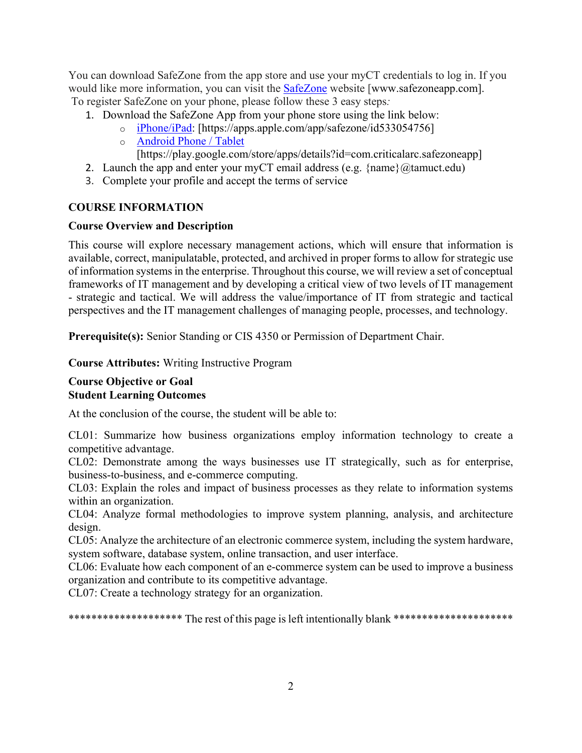You can download SafeZone from the app store and use your myCT credentials to log in. If you would like more information, you can visit the [SafeZone](http://www.safezoneapp.com/) website [www.safezoneapp.com]. To register SafeZone on your phone, please follow these 3 easy steps*:*

- 1. Download the SafeZone App from your phone store using the link below:
	- o [iPhone/iPad:](https://apps.apple.com/app/safezone/id533054756) [https://apps.apple.com/app/safezone/id533054756]
	- o [Android Phone / Tablet](https://play.google.com/store/apps/details?id=com.criticalarc.safezoneapp)
	- [https://play.google.com/store/apps/details?id=com.criticalarc.safezoneapp]
- 2. Launch the app and enter your myCT email address (e.g.  $\{name\}$ ) ( $@$ tamuct.edu)
- 3. Complete your profile and accept the terms of service

# **COURSE INFORMATION**

# **Course Overview and Description**

This course will explore necessary management actions, which will ensure that information is available, correct, manipulatable, protected, and archived in proper forms to allow for strategic use of information systems in the enterprise. Throughout this course, we will review a set of conceptual frameworks of IT management and by developing a critical view of two levels of IT management - strategic and tactical. We will address the value/importance of IT from strategic and tactical perspectives and the IT management challenges of managing people, processes, and technology.

**Prerequisite(s):** Senior Standing or CIS 4350 or Permission of Department Chair.

**Course Attributes:** Writing Instructive Program

## **Course Objective or Goal Student Learning Outcomes**

At the conclusion of the course, the student will be able to:

CL01: Summarize how business organizations employ information technology to create a competitive advantage.

CL02: Demonstrate among the ways businesses use IT strategically, such as for enterprise, business-to-business, and e-commerce computing.

CL03: Explain the roles and impact of business processes as they relate to information systems within an organization.

CL04: Analyze formal methodologies to improve system planning, analysis, and architecture design.

CL05: Analyze the architecture of an electronic commerce system, including the system hardware, system software, database system, online transaction, and user interface.

CL06: Evaluate how each component of an e-commerce system can be used to improve a business organization and contribute to its competitive advantage.

CL07: Create a technology strategy for an organization.

\*\*\*\*\*\*\*\*\*\*\*\*\*\*\*\*\*\*\*\* The rest of this page is left intentionally blank \*\*\*\*\*\*\*\*\*\*\*\*\*\*\*\*\*\*\*\*\*\*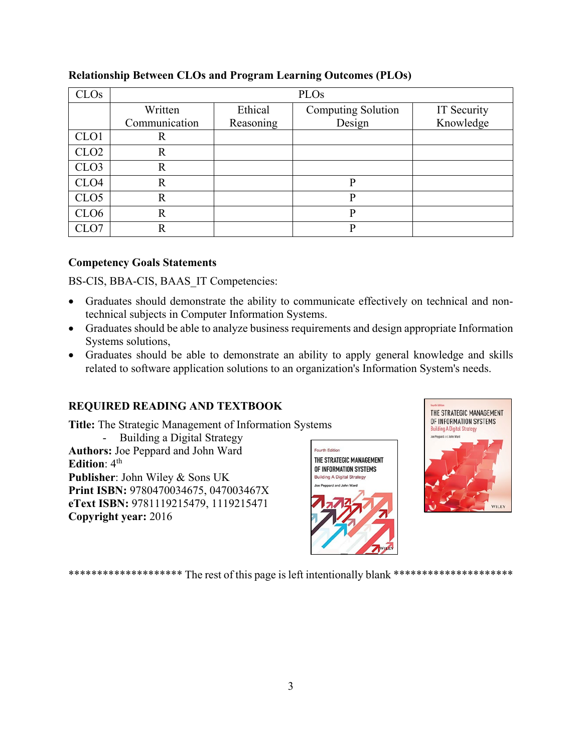| CLOs             | PLOs           |           |                           |             |
|------------------|----------------|-----------|---------------------------|-------------|
|                  | Written        | Ethical   | <b>Computing Solution</b> | IT Security |
|                  | Communication  | Reasoning | Design                    | Knowledge   |
| CLO <sub>1</sub> | R              |           |                           |             |
| CLO <sub>2</sub> | R              |           |                           |             |
| CLO <sub>3</sub> | R              |           |                           |             |
| CLO <sub>4</sub> | $\mathbf R$    |           | P                         |             |
| CLO <sub>5</sub> | $\overline{R}$ |           | P                         |             |
| CLO <sub>6</sub> | $\mathbb{R}$   |           | P                         |             |
| CLO7             | R              |           | Þ                         |             |

# **Relationship Between CLOs and Program Learning Outcomes (PLOs)**

# **Competency Goals Statements**

BS-CIS, BBA-CIS, BAAS\_IT Competencies:

- Graduates should demonstrate the ability to communicate effectively on technical and nontechnical subjects in Computer Information Systems.
- Graduates should be able to analyze business requirements and design appropriate Information Systems solutions,
- Graduates should be able to demonstrate an ability to apply general knowledge and skills related to software application solutions to an organization's Information System's needs.

# **REQUIRED READING AND TEXTBOOK**

**Title:** The Strategic Management of Information Systems - Building a Digital Strategy **Authors:** Joe Peppard and John Ward **Edition**:  $4<sup>th</sup>$ **Publisher**: John Wiley & Sons UK **Print ISBN:** 9780470034675, 047003467X **eText ISBN:** 9781119215479, 1119215471 **Copyright year:** 2016





\*\*\*\*\*\*\*\*\*\*\*\*\*\*\*\*\*\*\*\* The rest of this page is left intentionally blank \*\*\*\*\*\*\*\*\*\*\*\*\*\*\*\*\*\*\*\*\*\*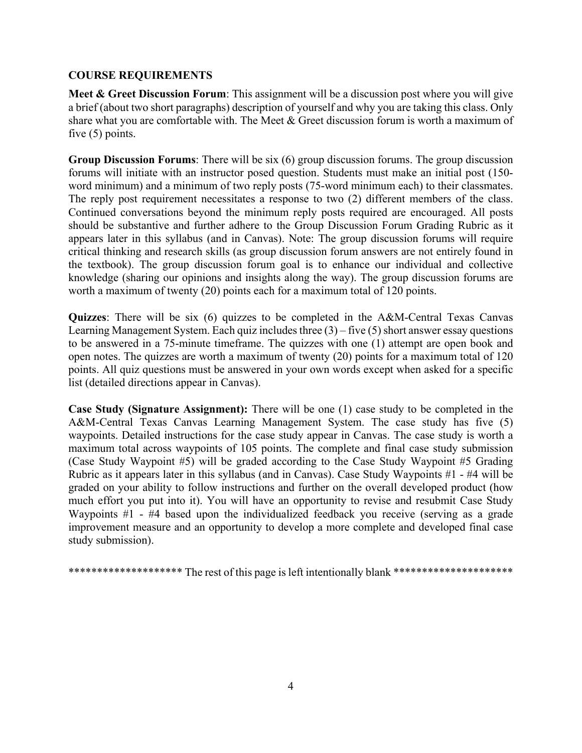## **COURSE REQUIREMENTS**

Meet & Greet Discussion Forum: This assignment will be a discussion post where you will give a brief (about two short paragraphs) description of yourself and why you are taking this class. Only share what you are comfortable with. The Meet & Greet discussion forum is worth a maximum of five (5) points.

**Group Discussion Forums**: There will be six (6) group discussion forums. The group discussion forums will initiate with an instructor posed question. Students must make an initial post (150 word minimum) and a minimum of two reply posts (75-word minimum each) to their classmates. The reply post requirement necessitates a response to two (2) different members of the class. Continued conversations beyond the minimum reply posts required are encouraged. All posts should be substantive and further adhere to the Group Discussion Forum Grading Rubric as it appears later in this syllabus (and in Canvas). Note: The group discussion forums will require critical thinking and research skills (as group discussion forum answers are not entirely found in the textbook). The group discussion forum goal is to enhance our individual and collective knowledge (sharing our opinions and insights along the way). The group discussion forums are worth a maximum of twenty (20) points each for a maximum total of 120 points.

**Quizzes**: There will be six (6) quizzes to be completed in the A&M-Central Texas Canvas Learning Management System. Each quiz includes three  $(3)$  – five  $(5)$  short answer essay questions to be answered in a 75-minute timeframe. The quizzes with one (1) attempt are open book and open notes. The quizzes are worth a maximum of twenty (20) points for a maximum total of 120 points. All quiz questions must be answered in your own words except when asked for a specific list (detailed directions appear in Canvas).

**Case Study (Signature Assignment):** There will be one (1) case study to be completed in the A&M-Central Texas Canvas Learning Management System. The case study has five (5) waypoints. Detailed instructions for the case study appear in Canvas. The case study is worth a maximum total across waypoints of 105 points. The complete and final case study submission (Case Study Waypoint #5) will be graded according to the Case Study Waypoint #5 Grading Rubric as it appears later in this syllabus (and in Canvas). Case Study Waypoints #1 - #4 will be graded on your ability to follow instructions and further on the overall developed product (how much effort you put into it). You will have an opportunity to revise and resubmit Case Study Waypoints #1 - #4 based upon the individualized feedback you receive (serving as a grade improvement measure and an opportunity to develop a more complete and developed final case study submission).

\*\*\*\*\*\*\*\*\*\*\*\*\*\*\*\*\*\*\*\* The rest of this page is left intentionally blank \*\*\*\*\*\*\*\*\*\*\*\*\*\*\*\*\*\*\*\*\*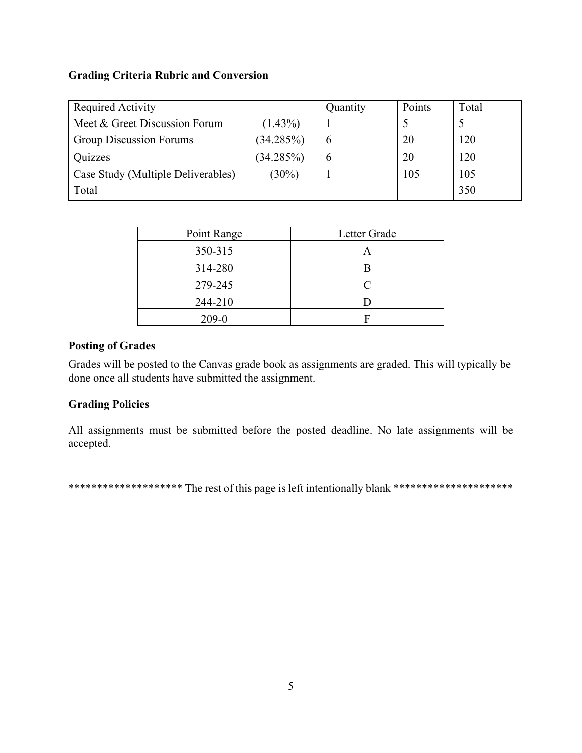## **Grading Criteria Rubric and Conversion**

| Required Activity                  |            | Quantity | Points | Total |
|------------------------------------|------------|----------|--------|-------|
| Meet & Greet Discussion Forum      | $(1.43\%)$ |          |        |       |
| <b>Group Discussion Forums</b>     | (34.285%)  |          | 20     | 120   |
| Quizzes                            | (34.285%)  |          | 20     | 120   |
| Case Study (Multiple Deliverables) | $(30\%)$   |          | 105    | 105   |
| Total                              |            |          |        | 350   |

| Point Range | Letter Grade |  |
|-------------|--------------|--|
| 350-315     | Α            |  |
| 314-280     |              |  |
| 279-245     | $\subset$    |  |
| 244-210     |              |  |
| $209 - 0$   |              |  |

# **Posting of Grades**

Grades will be posted to the Canvas grade book as assignments are graded. This will typically be done once all students have submitted the assignment.

# **Grading Policies**

All assignments must be submitted before the posted deadline. No late assignments will be accepted.

\*\*\*\*\*\*\*\*\*\*\*\*\*\*\*\*\*\*\*\*\* The rest of this page is left intentionally blank \*\*\*\*\*\*\*\*\*\*\*\*\*\*\*\*\*\*\*\*\*\*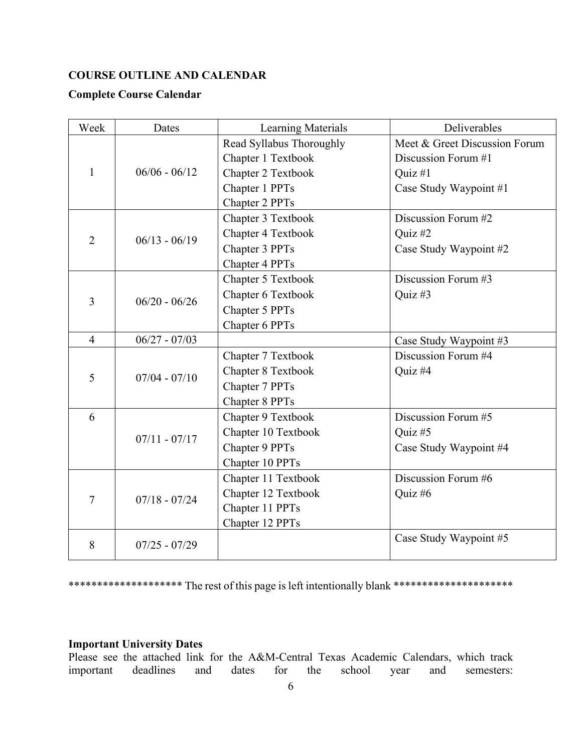# **COURSE OUTLINE AND CALENDAR**

## **Complete Course Calendar**

| Week           | Dates           | Learning Materials       | Deliverables                  |
|----------------|-----------------|--------------------------|-------------------------------|
|                |                 | Read Syllabus Thoroughly | Meet & Greet Discussion Forum |
|                |                 | Chapter 1 Textbook       | Discussion Forum #1           |
| $\mathbf{1}$   | $06/06 - 06/12$ | Chapter 2 Textbook       | Quiz #1                       |
|                |                 | Chapter 1 PPTs           | Case Study Waypoint #1        |
|                |                 | Chapter 2 PPTs           |                               |
|                |                 | Chapter 3 Textbook       | Discussion Forum #2           |
| $\overline{2}$ | $06/13 - 06/19$ | Chapter 4 Textbook       | Quiz #2                       |
|                |                 | Chapter 3 PPTs           | Case Study Waypoint #2        |
|                |                 | Chapter 4 PPTs           |                               |
|                |                 | Chapter 5 Textbook       | Discussion Forum #3           |
| 3              | $06/20 - 06/26$ | Chapter 6 Textbook       | Quiz #3                       |
|                |                 | Chapter 5 PPTs           |                               |
|                |                 | Chapter 6 PPTs           |                               |
| $\overline{4}$ | $06/27 - 07/03$ |                          | Case Study Waypoint #3        |
|                |                 | Chapter 7 Textbook       | Discussion Forum #4           |
| 5              | $07/04 - 07/10$ | Chapter 8 Textbook       | Quiz #4                       |
|                |                 | Chapter 7 PPTs           |                               |
|                |                 | Chapter 8 PPTs           |                               |
| 6              |                 | Chapter 9 Textbook       | Discussion Forum #5           |
|                | $07/11 - 07/17$ | Chapter 10 Textbook      | Quiz #5                       |
|                |                 | Chapter 9 PPTs           | Case Study Waypoint #4        |
|                |                 | Chapter 10 PPTs          |                               |
|                |                 | Chapter 11 Textbook      | Discussion Forum #6           |
| $\overline{7}$ | $07/18 - 07/24$ | Chapter 12 Textbook      | Quiz #6                       |
|                |                 | Chapter 11 PPTs          |                               |
|                |                 | Chapter 12 PPTs          |                               |
| 8              | $07/25 - 07/29$ |                          | Case Study Waypoint #5        |

\*\*\*\*\*\*\*\*\*\*\*\*\*\*\*\*\*\*\*\*\* The rest of this page is left intentionally blank \*\*\*\*\*\*\*\*\*\*\*\*\*\*\*\*\*\*\*\*\*\*\*

# **Important University Dates**

Please see the attached link for the A&M-Central Texas Academic Calendars, which track important deadlines and dates for the school year and semesters: for the school year and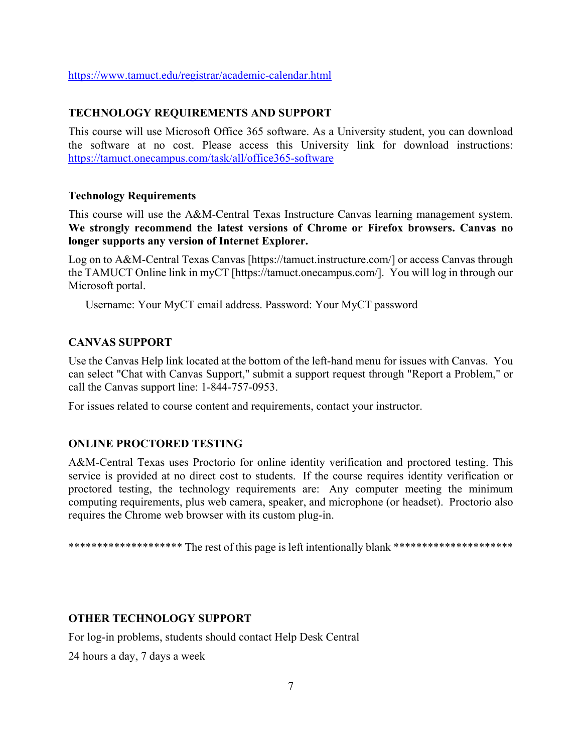<https://www.tamuct.edu/registrar/academic-calendar.html>

#### **TECHNOLOGY REQUIREMENTS AND SUPPORT**

This course will use Microsoft Office 365 software. As a University student, you can download the software at no cost. Please access this University link for download instructions: <https://tamuct.onecampus.com/task/all/office365-software>

#### **Technology Requirements**

This course will use the A&M-Central Texas Instructure Canvas learning management system. **We strongly recommend the latest versions of Chrome or Firefox browsers. Canvas no longer supports any version of Internet Explorer.**

Log on to A&M-Central Texas Canvas [https://tamuct.instructure.com/] or access Canvas through the TAMUCT Online link in myCT [https://tamuct.onecampus.com/]. You will log in through our Microsoft portal.

Username: Your MyCT email address. Password: Your MyCT password

#### **CANVAS SUPPORT**

Use the Canvas Help link located at the bottom of the left-hand menu for issues with Canvas. You can select "Chat with Canvas Support," submit a support request through "Report a Problem," or call the Canvas support line: 1-844-757-0953.

For issues related to course content and requirements, contact your instructor.

#### **ONLINE PROCTORED TESTING**

A&M-Central Texas uses Proctorio for online identity verification and proctored testing. This service is provided at no direct cost to students. If the course requires identity verification or proctored testing, the technology requirements are: Any computer meeting the minimum computing requirements, plus web camera, speaker, and microphone (or headset). Proctorio also requires the Chrome web browser with its custom plug-in.

\*\*\*\*\*\*\*\*\*\*\*\*\*\*\*\*\*\*\*\*\* The rest of this page is left intentionally blank \*\*\*\*\*\*\*\*\*\*\*\*\*\*\*\*\*\*\*\*\*\*

#### **OTHER TECHNOLOGY SUPPORT**

For log-in problems, students should contact Help Desk Central

24 hours a day, 7 days a week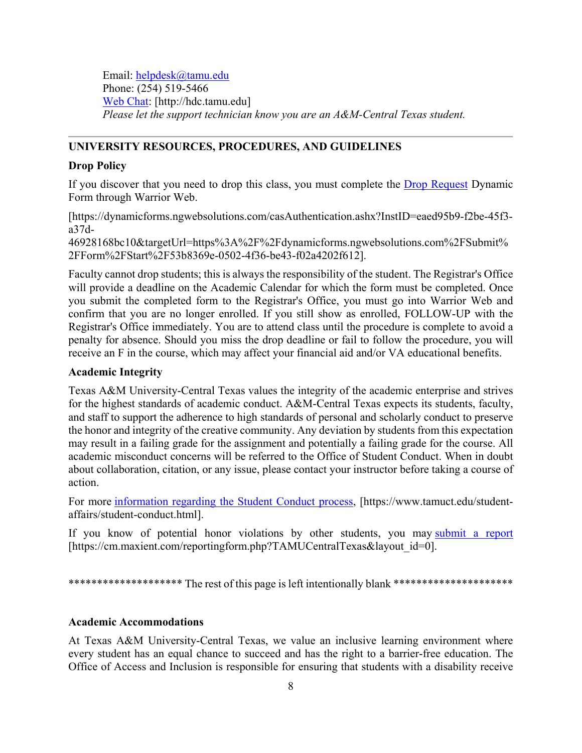Email: [helpdesk@tamu.edu](about:blank) Phone: (254) 519-5466 [Web Chat:](about:blank) [http://hdc.tamu.edu] *Please let the support technician know you are an A&M-Central Texas student.*

## **UNIVERSITY RESOURCES, PROCEDURES, AND GUIDELINES**

#### **Drop Policy**

If you discover that you need to drop this class, you must complete the [Drop Request](about:blank) Dynamic Form through Warrior Web.

[https://dynamicforms.ngwebsolutions.com/casAuthentication.ashx?InstID=eaed95b9-f2be-45f3 a37d-

46928168bc10&targetUrl=https%3A%2F%2Fdynamicforms.ngwebsolutions.com%2FSubmit% 2FForm%2FStart%2F53b8369e-0502-4f36-be43-f02a4202f612].

Faculty cannot drop students; this is always the responsibility of the student. The Registrar's Office will provide a deadline on the Academic Calendar for which the form must be completed. Once you submit the completed form to the Registrar's Office, you must go into Warrior Web and confirm that you are no longer enrolled. If you still show as enrolled, FOLLOW-UP with the Registrar's Office immediately. You are to attend class until the procedure is complete to avoid a penalty for absence. Should you miss the drop deadline or fail to follow the procedure, you will receive an F in the course, which may affect your financial aid and/or VA educational benefits.

#### **Academic Integrity**

Texas A&M University-Central Texas values the integrity of the academic enterprise and strives for the highest standards of academic conduct. A&M-Central Texas expects its students, faculty, and staff to support the adherence to high standards of personal and scholarly conduct to preserve the honor and integrity of the creative community. Any deviation by students from this expectation may result in a failing grade for the assignment and potentially a failing grade for the course. All academic misconduct concerns will be referred to the Office of Student Conduct. When in doubt about collaboration, citation, or any issue, please contact your instructor before taking a course of action.

For more [information](about:blank) regarding the Student Conduct process, [https://www.tamuct.edu/studentaffairs/student-conduct.html].

If you know of potential honor violations by other students, you may [submit](about:blank) a report [https://cm.maxient.com/reportingform.php?TAMUCentralTexas&layout\_id=0].

\*\*\*\*\*\*\*\*\*\*\*\*\*\*\*\*\*\*\*\*\* The rest of this page is left intentionally blank \*\*\*\*\*\*\*\*\*\*\*\*\*\*\*\*\*\*\*\*\*\*

#### **Academic Accommodations**

At Texas A&M University-Central Texas, we value an inclusive learning environment where every student has an equal chance to succeed and has the right to a barrier-free education. The Office of Access and Inclusion is responsible for ensuring that students with a disability receive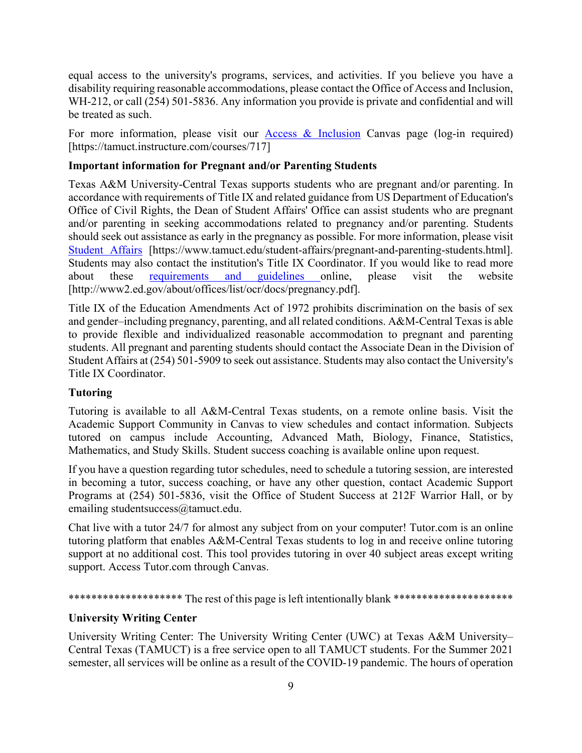equal access to the university's programs, services, and activities. If you believe you have a disability requiring reasonable accommodations, please contact the Office of Access and Inclusion, WH-212, or call (254) 501-5836. Any information you provide is private and confidential and will be treated as such.

For more information, please visit our [Access & Inclusion](about:blank) Canvas page (log-in required) [https://tamuct.instructure.com/courses/717]

# **Important information for Pregnant and/or Parenting Students**

Texas A&M University-Central Texas supports students who are pregnant and/or parenting. In accordance with requirements of Title IX and related guidance from US Department of Education's Office of Civil Rights, the Dean of Student Affairs' Office can assist students who are pregnant and/or parenting in seeking accommodations related to pregnancy and/or parenting. Students should seek out assistance as early in the pregnancy as possible. For more information, please visit [Student Affairs](about:blank) [https://www.tamuct.edu/student-affairs/pregnant-and-parenting-students.html]. Students may also contact the institution's Title IX Coordinator. If you would like to read more about these [requirements and guidelines](about:blank) online, please visit the website [http://www2.ed.gov/about/offices/list/ocr/docs/pregnancy.pdf].

Title IX of the Education Amendments Act of 1972 prohibits discrimination on the basis of sex and gender–including pregnancy, parenting, and all related conditions. A&M-Central Texas is able to provide flexible and individualized reasonable accommodation to pregnant and parenting students. All pregnant and parenting students should contact the Associate Dean in the Division of Student Affairs at (254) 501-5909 to seek out assistance. Students may also contact the University's Title IX Coordinator.

# **Tutoring**

Tutoring is available to all A&M-Central Texas students, on a remote online basis. Visit the Academic Support Community in Canvas to view schedules and contact information. Subjects tutored on campus include Accounting, Advanced Math, Biology, Finance, Statistics, Mathematics, and Study Skills. Student success coaching is available online upon request.

If you have a question regarding tutor schedules, need to schedule a tutoring session, are interested in becoming a tutor, success coaching, or have any other question, contact Academic Support Programs at (254) 501-5836, visit the Office of Student Success at 212F Warrior Hall, or by emailing studentsuccess@tamuct.edu.

Chat live with a tutor 24/7 for almost any subject from on your computer! Tutor.com is an online tutoring platform that enables A&M-Central Texas students to log in and receive online tutoring support at no additional cost. This tool provides tutoring in over 40 subject areas except writing support. Access Tutor.com through Canvas.

\*\*\*\*\*\*\*\*\*\*\*\*\*\*\*\*\*\*\*\* The rest of this page is left intentionally blank \*\*\*\*\*\*\*\*\*\*\*\*\*\*\*\*\*\*\*\*\*\*

# **University Writing Center**

University Writing Center: The University Writing Center (UWC) at Texas A&M University– Central Texas (TAMUCT) is a free service open to all TAMUCT students. For the Summer 2021 semester, all services will be online as a result of the COVID-19 pandemic. The hours of operation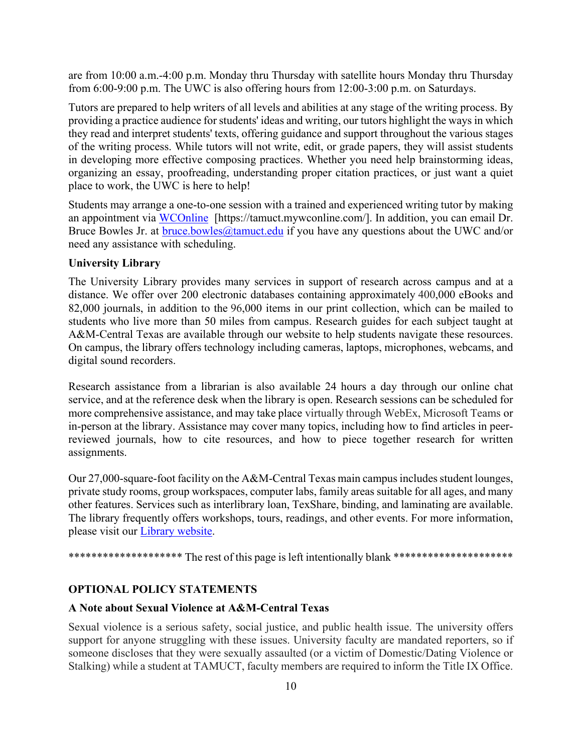are from 10:00 a.m.-4:00 p.m. Monday thru Thursday with satellite hours Monday thru Thursday from 6:00-9:00 p.m. The UWC is also offering hours from 12:00-3:00 p.m. on Saturdays.

Tutors are prepared to help writers of all levels and abilities at any stage of the writing process. By providing a practice audience for students' ideas and writing, our tutors highlight the ways in which they read and interpret students' texts, offering guidance and support throughout the various stages of the writing process. While tutors will not write, edit, or grade papers, they will assist students in developing more effective composing practices. Whether you need help brainstorming ideas, organizing an essay, proofreading, understanding proper citation practices, or just want a quiet place to work, the UWC is here to help!

Students may arrange a one-to-one session with a trained and experienced writing tutor by making an appointment via [WCOnline](about:blank) [https://tamuct.mywconline.com/]. In addition, you can email Dr. Bruce Bowles Jr. at [bruce.bowles@tamuct.edu](about:blank) if you have any questions about the UWC and/or need any assistance with scheduling.

#### **University Library**

The University Library provides many services in support of research across campus and at a distance. We offer over 200 electronic databases containing approximately 400,000 eBooks and 82,000 journals, in addition to the 96,000 items in our print collection, which can be mailed to students who live more than 50 miles from campus. Research guides for each subject taught at A&M-Central Texas are available through our website to help students navigate these resources. On campus, the library offers technology including cameras, laptops, microphones, webcams, and digital sound recorders.

Research assistance from a librarian is also available 24 hours a day through our online chat service, and at the reference desk when the library is open. Research sessions can be scheduled for more comprehensive assistance, and may take place virtually through WebEx, Microsoft Teams or in-person at the library. Assistance may cover many topics, including how to find articles in peerreviewed journals, how to cite resources, and how to piece together research for written assignments.

Our 27,000-square-foot facility on the  $A&M$ -Central Texas main campus includes student lounges, private study rooms, group workspaces, computer labs, family areas suitable for all ages, and many other features. Services such as interlibrary loan, TexShare, binding, and laminating are available. The library frequently offers workshops, tours, readings, and other events. For more information, please visit our Library [website.](https://tamuct.libguides.com/index)

\*\*\*\*\*\*\*\*\*\*\*\*\*\*\*\*\*\*\*\*\* The rest of this page is left intentionally blank \*\*\*\*\*\*\*\*\*\*\*\*\*\*\*\*\*\*\*\*\*\*

#### **OPTIONAL POLICY STATEMENTS**

#### **A Note about Sexual Violence at A&M-Central Texas**

Sexual violence is a serious safety, social justice, and public health issue. The university offers support for anyone struggling with these issues. University faculty are mandated reporters, so if someone discloses that they were sexually assaulted (or a victim of Domestic/Dating Violence or Stalking) while a student at TAMUCT, faculty members are required to inform the Title IX Office.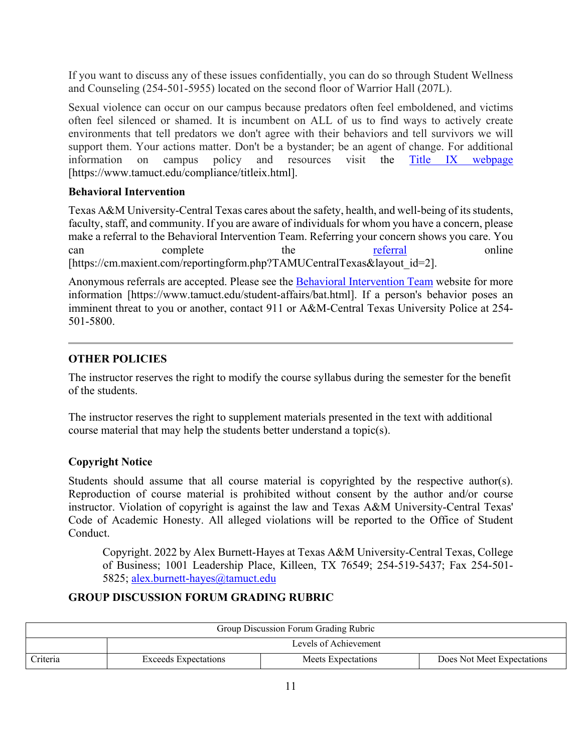If you want to discuss any of these issues confidentially, you can do so through Student Wellness and Counseling (254-501-5955) located on the second floor of Warrior Hall (207L).

Sexual violence can occur on our campus because predators often feel emboldened, and victims often feel silenced or shamed. It is incumbent on ALL of us to find ways to actively create environments that tell predators we don't agree with their behaviors and tell survivors we will support them. Your actions matter. Don't be a bystander; be an agent of change. For additional information on campus policy and resources visit the [Title IX webpage](about:blank) [\[https://www.tamuct.edu/compliance/titleix.html\]](about:blank).

## **Behavioral Intervention**

Texas A&M University-Central Texas cares about the safety, health, and well-being of its students, faculty, staff, and community. If you are aware of individuals for whom you have a concern, please make a referral to the Behavioral Intervention Team. Referring your concern shows you care. You can complete the [referral](about:blank) online [https://cm.maxient.com/reportingform.php?TAMUCentralTexas&layout\_id=2].

Anonymous referrals are accepted. Please see the [Behavioral Intervention Team](about:blank) website for more information [https://www.tamuct.edu/student-affairs/bat.html]. If a person's behavior poses an imminent threat to you or another, contact 911 or A&M-Central Texas University Police at 254- 501-5800.

## **OTHER POLICIES**

The instructor reserves the right to modify the course syllabus during the semester for the benefit of the students.

The instructor reserves the right to supplement materials presented in the text with additional course material that may help the students better understand a topic(s).

## **Copyright Notice**

Students should assume that all course material is copyrighted by the respective author(s). Reproduction of course material is prohibited without consent by the author and/or course instructor. Violation of copyright is against the law and Texas A&M University-Central Texas' Code of Academic Honesty. All alleged violations will be reported to the Office of Student Conduct.

Copyright. 2022 by Alex Burnett-Hayes at Texas A&M University-Central Texas, College of Business; 1001 Leadership Place, Killeen, TX 76549; 254-519-5437; Fax 254-501- 5825; [alex.burnett-hayes@tamuct.edu](mailto:alex.burnett-hayes@tamuct.edu)

## **GROUP DISCUSSION FORUM GRADING RUBRIC**

| Group Discussion Forum Grading Rubric |                             |                    |                            |  |  |
|---------------------------------------|-----------------------------|--------------------|----------------------------|--|--|
|                                       | Levels of Achievement       |                    |                            |  |  |
| Criteria                              | <b>Exceeds Expectations</b> | Meets Expectations | Does Not Meet Expectations |  |  |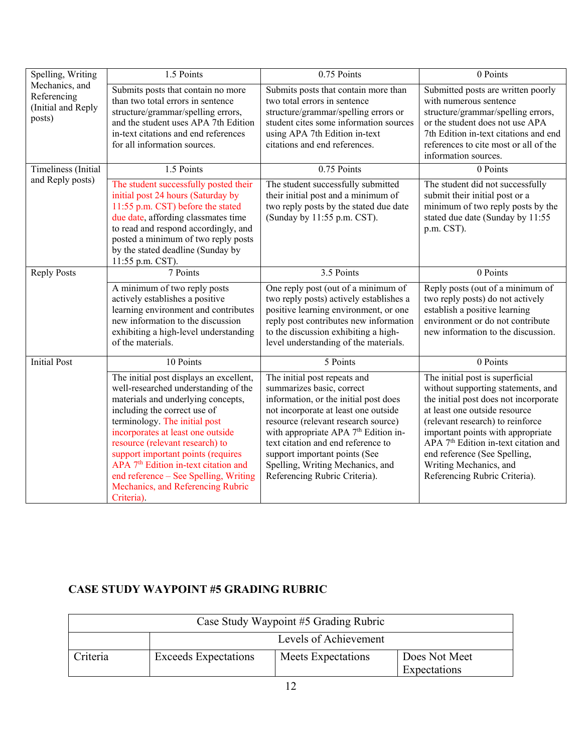| Spelling, Writing                                             | $1.5$ Points                                                                                                                                                                                                                                                                                                                                                                                                                                         | 0.75 Points                                                                                                                                                                                                                                                                                                                                                                       | 0 Points                                                                                                                                                                                                                                                                                                                                                                |
|---------------------------------------------------------------|------------------------------------------------------------------------------------------------------------------------------------------------------------------------------------------------------------------------------------------------------------------------------------------------------------------------------------------------------------------------------------------------------------------------------------------------------|-----------------------------------------------------------------------------------------------------------------------------------------------------------------------------------------------------------------------------------------------------------------------------------------------------------------------------------------------------------------------------------|-------------------------------------------------------------------------------------------------------------------------------------------------------------------------------------------------------------------------------------------------------------------------------------------------------------------------------------------------------------------------|
| Mechanics, and<br>Referencing<br>(Initial and Reply<br>posts) | Submits posts that contain no more<br>than two total errors in sentence<br>structure/grammar/spelling errors,<br>and the student uses APA 7th Edition<br>in-text citations and end references<br>for all information sources.                                                                                                                                                                                                                        | Submits posts that contain more than<br>two total errors in sentence<br>structure/grammar/spelling errors or<br>student cites some information sources<br>using APA 7th Edition in-text<br>citations and end references.                                                                                                                                                          | Submitted posts are written poorly<br>with numerous sentence<br>structure/grammar/spelling errors,<br>or the student does not use APA<br>7th Edition in-text citations and end<br>references to cite most or all of the<br>information sources.                                                                                                                         |
| Timeliness (Initial                                           | 1.5 Points                                                                                                                                                                                                                                                                                                                                                                                                                                           | 0.75 Points                                                                                                                                                                                                                                                                                                                                                                       | 0 Points                                                                                                                                                                                                                                                                                                                                                                |
| and Reply posts)                                              | The student successfully posted their<br>initial post 24 hours (Saturday by<br>11:55 p.m. CST) before the stated<br>due date, affording classmates time<br>to read and respond accordingly, and<br>posted a minimum of two reply posts<br>by the stated deadline (Sunday by<br>11:55 p.m. CST).                                                                                                                                                      | The student successfully submitted<br>their initial post and a minimum of<br>two reply posts by the stated due date<br>(Sunday by 11:55 p.m. CST).                                                                                                                                                                                                                                | The student did not successfully<br>submit their initial post or a<br>minimum of two reply posts by the<br>stated due date (Sunday by 11:55<br>p.m. CST).                                                                                                                                                                                                               |
| <b>Reply Posts</b>                                            | 7 Points                                                                                                                                                                                                                                                                                                                                                                                                                                             | 3.5 Points                                                                                                                                                                                                                                                                                                                                                                        | 0 Points                                                                                                                                                                                                                                                                                                                                                                |
|                                                               | A minimum of two reply posts<br>actively establishes a positive<br>learning environment and contributes<br>new information to the discussion<br>exhibiting a high-level understanding<br>of the materials.                                                                                                                                                                                                                                           | One reply post (out of a minimum of<br>two reply posts) actively establishes a<br>positive learning environment, or one<br>reply post contributes new information<br>to the discussion exhibiting a high-<br>level understanding of the materials.                                                                                                                                | Reply posts (out of a minimum of<br>two reply posts) do not actively<br>establish a positive learning<br>environment or do not contribute<br>new information to the discussion.                                                                                                                                                                                         |
| <b>Initial Post</b>                                           | 10 Points                                                                                                                                                                                                                                                                                                                                                                                                                                            | 5 Points                                                                                                                                                                                                                                                                                                                                                                          | 0 Points                                                                                                                                                                                                                                                                                                                                                                |
|                                                               | The initial post displays an excellent,<br>well-researched understanding of the<br>materials and underlying concepts,<br>including the correct use of<br>terminology. The initial post<br>incorporates at least one outside<br>resource (relevant research) to<br>support important points (requires<br>APA 7 <sup>th</sup> Edition in-text citation and<br>end reference - See Spelling, Writing<br>Mechanics, and Referencing Rubric<br>Criteria). | The initial post repeats and<br>summarizes basic, correct<br>information, or the initial post does<br>not incorporate at least one outside<br>resource (relevant research source)<br>with appropriate APA 7 <sup>th</sup> Edition in-<br>text citation and end reference to<br>support important points (See<br>Spelling, Writing Mechanics, and<br>Referencing Rubric Criteria). | The initial post is superficial<br>without supporting statements, and<br>the initial post does not incorporate<br>at least one outside resource<br>(relevant research) to reinforce<br>important points with appropriate<br>APA 7 <sup>th</sup> Edition in-text citation and<br>end reference (See Spelling,<br>Writing Mechanics, and<br>Referencing Rubric Criteria). |

# **CASE STUDY WAYPOINT #5 GRADING RUBRIC**

| Case Study Waypoint #5 Grading Rubric |                             |                    |                               |  |  |
|---------------------------------------|-----------------------------|--------------------|-------------------------------|--|--|
|                                       | Levels of Achievement       |                    |                               |  |  |
| Criteria                              | <b>Exceeds Expectations</b> | Meets Expectations | Does Not Meet<br>Expectations |  |  |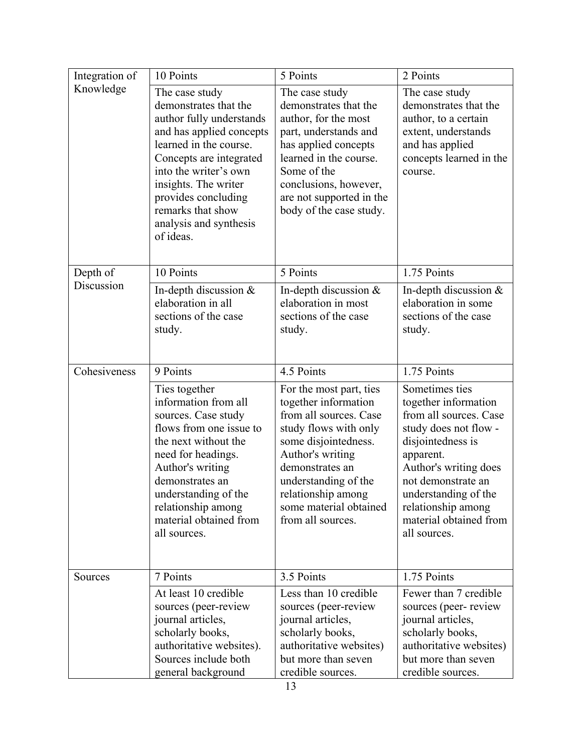| Integration of | 10 Points                                                                                                                                                                                                                                                                                | 5 Points                                                                                                                                                                                                                                                       | 2 Points                                                                                                                                                                                                                                                           |
|----------------|------------------------------------------------------------------------------------------------------------------------------------------------------------------------------------------------------------------------------------------------------------------------------------------|----------------------------------------------------------------------------------------------------------------------------------------------------------------------------------------------------------------------------------------------------------------|--------------------------------------------------------------------------------------------------------------------------------------------------------------------------------------------------------------------------------------------------------------------|
| Knowledge      | The case study<br>demonstrates that the<br>author fully understands<br>and has applied concepts<br>learned in the course.<br>Concepts are integrated<br>into the writer's own<br>insights. The writer<br>provides concluding<br>remarks that show<br>analysis and synthesis<br>of ideas. | The case study<br>demonstrates that the<br>author, for the most<br>part, understands and<br>has applied concepts<br>learned in the course.<br>Some of the<br>conclusions, however,<br>are not supported in the<br>body of the case study.                      | The case study<br>demonstrates that the<br>author, to a certain<br>extent, understands<br>and has applied<br>concepts learned in the<br>course.                                                                                                                    |
| Depth of       | 10 Points                                                                                                                                                                                                                                                                                | 5 Points                                                                                                                                                                                                                                                       | 1.75 Points                                                                                                                                                                                                                                                        |
| Discussion     | In-depth discussion $&$<br>elaboration in all<br>sections of the case<br>study.                                                                                                                                                                                                          | In-depth discussion $&$<br>elaboration in most<br>sections of the case<br>study.                                                                                                                                                                               | In-depth discussion $&$<br>elaboration in some<br>sections of the case<br>study.                                                                                                                                                                                   |
| Cohesiveness   | 9 Points                                                                                                                                                                                                                                                                                 | 4.5 Points                                                                                                                                                                                                                                                     | 1.75 Points                                                                                                                                                                                                                                                        |
|                | Ties together<br>information from all<br>sources. Case study<br>flows from one issue to<br>the next without the<br>need for headings.<br>Author's writing<br>demonstrates an<br>understanding of the<br>relationship among<br>material obtained from<br>all sources.                     | For the most part, ties<br>together information<br>from all sources. Case<br>study flows with only<br>some disjointedness.<br>Author's writing<br>demonstrates an<br>understanding of the<br>relationship among<br>some material obtained<br>from all sources. | Sometimes ties<br>together information<br>from all sources. Case<br>study does not flow -<br>disjointedness is<br>apparent.<br>Author's writing does<br>not demonstrate an<br>understanding of the<br>relationship among<br>material obtained from<br>all sources. |
| Sources        | 7 Points                                                                                                                                                                                                                                                                                 | 3.5 Points                                                                                                                                                                                                                                                     | 1.75 Points                                                                                                                                                                                                                                                        |
|                | At least 10 credible<br>sources (peer-review<br>journal articles,<br>scholarly books,<br>authoritative websites).<br>Sources include both<br>general background                                                                                                                          | Less than 10 credible<br>sources (peer-review<br>journal articles,<br>scholarly books,<br>authoritative websites)<br>but more than seven<br>credible sources.                                                                                                  | Fewer than 7 credible<br>sources (peer-review<br>journal articles,<br>scholarly books,<br>authoritative websites)<br>but more than seven<br>credible sources.                                                                                                      |